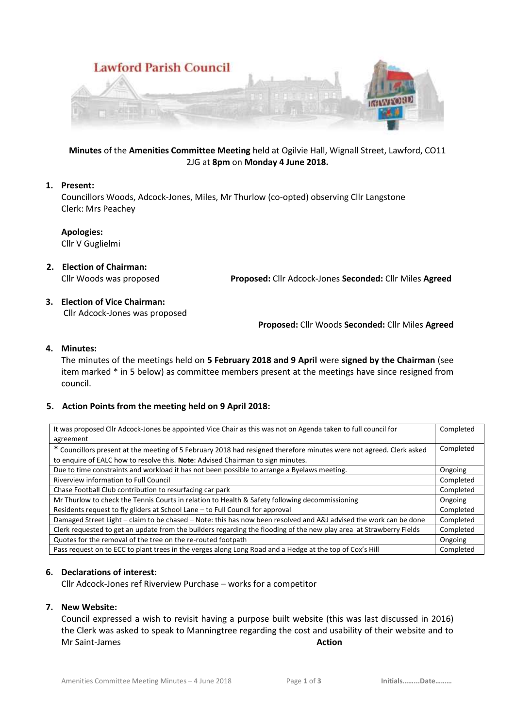

**Minutes** of the **Amenities Committee Meeting** held at Ogilvie Hall, Wignall Street, Lawford, CO11 2JG at **8pm** on **Monday 4 June 2018.**

## **1. Present:**

Councillors Woods, Adcock-Jones, Miles, Mr Thurlow (co-opted) observing Cllr Langstone Clerk: Mrs Peachey

**Apologies:**

Cllr V Guglielmi

- **2. Election of Chairman:**  Cllr Woods was proposed **Proposed:** Cllr Adcock-Jones **Seconded:** Cllr Miles **Agreed**
- **3. Election of Vice Chairman:** Cllr Adcock-Jones was proposed

**Proposed:** Cllr Woods **Seconded:** Cllr Miles **Agreed**

## **4. Minutes:**

The minutes of the meetings held on **5 February 2018 and 9 April** were **signed by the Chairman** (see item marked \* in 5 below) as committee members present at the meetings have since resigned from council.

### **5. Action Points from the meeting held on 9 April 2018:**

| It was proposed Cllr Adcock-Jones be appointed Vice Chair as this was not on Agenda taken to full council for<br>agreement | Completed |
|----------------------------------------------------------------------------------------------------------------------------|-----------|
| * Councillors present at the meeting of 5 February 2018 had resigned therefore minutes were not agreed. Clerk asked        | Completed |
| to enquire of EALC how to resolve this. Note: Advised Chairman to sign minutes.                                            |           |
| Due to time constraints and workload it has not been possible to arrange a Byelaws meeting.                                | Ongoing   |
| Riverview information to Full Council                                                                                      | Completed |
| Chase Football Club contribution to resurfacing car park                                                                   | Completed |
| Mr Thurlow to check the Tennis Courts in relation to Health & Safety following decommissioning                             | Ongoing   |
| Residents request to fly gliders at School Lane – to Full Council for approval                                             | Completed |
| Damaged Street Light - claim to be chased - Note: this has now been resolved and A&J advised the work can be done          | Completed |
| Clerk requested to get an update from the builders regarding the flooding of the new play area at Strawberry Fields        | Completed |
| Quotes for the removal of the tree on the re-routed footpath                                                               | Ongoing   |
| Pass request on to ECC to plant trees in the verges along Long Road and a Hedge at the top of Cox's Hill                   | Completed |

### **6. Declarations of interest:**

Cllr Adcock-Jones ref Riverview Purchase – works for a competitor

### **7. New Website:**

Council expressed a wish to revisit having a purpose built website (this was last discussed in 2016) the Clerk was asked to speak to Manningtree regarding the cost and usability of their website and to **Mr Saint-James Action**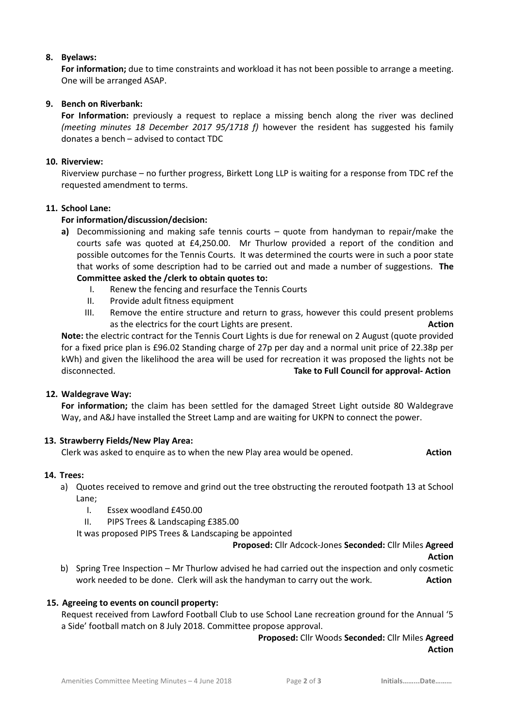## **8. Byelaws:**

**For information;** due to time constraints and workload it has not been possible to arrange a meeting. One will be arranged ASAP.

# **9. Bench on Riverbank:**

**For Information:** previously a request to replace a missing bench along the river was declined *(meeting minutes 18 December 2017 95/1718 f)* however the resident has suggested his family donates a bench – advised to contact TDC

## **10. Riverview:**

Riverview purchase – no further progress, Birkett Long LLP is waiting for a response from TDC ref the requested amendment to terms.

## **11. School Lane:**

## **For information/discussion/decision:**

- **a)** Decommissioning and making safe tennis courts quote from handyman to repair/make the courts safe was quoted at £4,250.00. Mr Thurlow provided a report of the condition and possible outcomes for the Tennis Courts. It was determined the courts were in such a poor state that works of some description had to be carried out and made a number of suggestions. **The Committee asked the /clerk to obtain quotes to:**
	- I. Renew the fencing and resurface the Tennis Courts
	- II. Provide adult fitness equipment
	- III. Remove the entire structure and return to grass, however this could present problems as the electrics for the court Lights are present. **Action**

**Note:** the electric contract for the Tennis Court Lights is due for renewal on 2 August (quote provided for a fixed price plan is £96.02 Standing charge of 27p per day and a normal unit price of 22.38p per kWh) and given the likelihood the area will be used for recreation it was proposed the lights not be disconnected. **Take to Full Council for approval- Action**

### **12. Waldegrave Way:**

**For information;** the claim has been settled for the damaged Street Light outside 80 Waldegrave Way, and A&J have installed the Street Lamp and are waiting for UKPN to connect the power.

### **13. Strawberry Fields/New Play Area:**

Clerk was asked to enquire as to when the new Play area would be opened. **Action**

## **14. Trees:**

- a) Quotes received to remove and grind out the tree obstructing the rerouted footpath 13 at School Lane;
	- I. Essex woodland £450.00
	- II. PIPS Trees & Landscaping £385.00

It was proposed PIPS Trees & Landscaping be appointed

**Proposed:** Cllr Adcock-Jones **Seconded:** Cllr Miles **Agreed**

**Action**

b) Spring Tree Inspection – Mr Thurlow advised he had carried out the inspection and only cosmetic work needed to be done. Clerk will ask the handyman to carry out the work. **Action** 

### **15. Agreeing to events on council property:**

Request received from Lawford Football Club to use School Lane recreation ground for the Annual '5 a Side' football match on 8 July 2018. Committee propose approval.

> **Proposed:** Cllr Woods **Seconded:** Cllr Miles **Agreed Action**